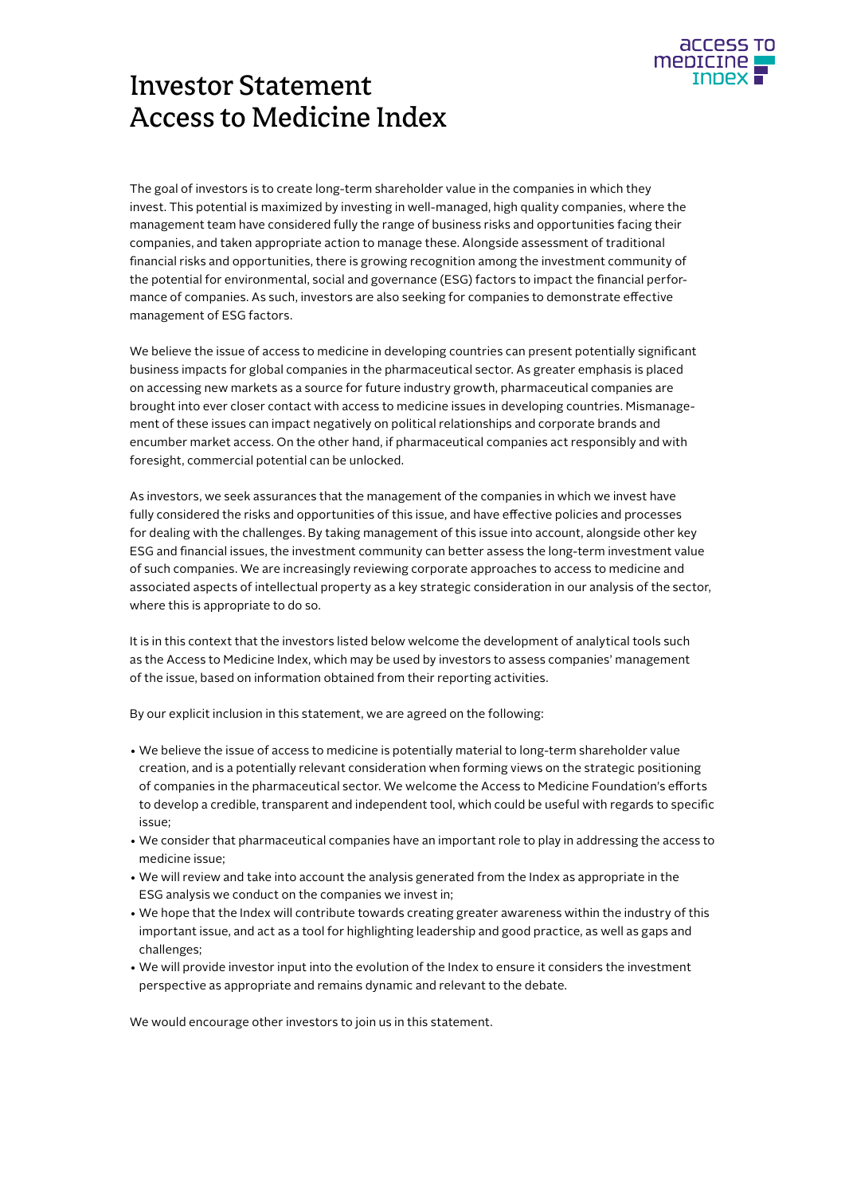

# Investor Statement Access to Medicine Index

The goal of investors is to create long-term shareholder value in the companies in which they invest. This potential is maximized by investing in well-managed, high quality companies, where the management team have considered fully the range of business risks and opportunities facing their companies, and taken appropriate action to manage these. Alongside assessment of traditional financial risks and opportunities, there is growing recognition among the investment community of the potential for environmental, social and governance (ESG) factors to impact the financial performance of companies. As such, investors are also seeking for companies to demonstrate effective management of ESG factors.

We believe the issue of access to medicine in developing countries can present potentially significant business impacts for global companies in the pharmaceutical sector. As greater emphasis is placed on accessing new markets as a source for future industry growth, pharmaceutical companies are brought into ever closer contact with access to medicine issues in developing countries. Mismanagement of these issues can impact negatively on political relationships and corporate brands and encumber market access. On the other hand, if pharmaceutical companies act responsibly and with foresight, commercial potential can be unlocked.

As investors, we seek assurances that the management of the companies in which we invest have fully considered the risks and opportunities of this issue, and have effective policies and processes for dealing with the challenges. By taking management of this issue into account, alongside other key ESG and financial issues, the investment community can better assess the long-term investment value of such companies. We are increasingly reviewing corporate approaches to access to medicine and associated aspects of intellectual property as a key strategic consideration in our analysis of the sector, where this is appropriate to do so.

It is in this context that the investors listed below welcome the development of analytical tools such as the Access to Medicine Index, which may be used by investors to assess companies' management of the issue, based on information obtained from their reporting activities.

By our explicit inclusion in this statement, we are agreed on the following:

- We believe the issue of access to medicine is potentially material to long-term shareholder value creation, and is a potentially relevant consideration when forming views on the strategic positioning of companies in the pharmaceutical sector. We welcome the Access to Medicine Foundation's efforts to develop a credible, transparent and independent tool, which could be useful with regards to specific issue;
- We consider that pharmaceutical companies have an important role to play in addressing the access to medicine issue;
- We will review and take into account the analysis generated from the Index as appropriate in the ESG analysis we conduct on the companies we invest in;
- We hope that the Index will contribute towards creating greater awareness within the industry of this important issue, and act as a tool for highlighting leadership and good practice, as well as gaps and challenges;
- We will provide investor input into the evolution of the Index to ensure it considers the investment perspective as appropriate and remains dynamic and relevant to the debate.

We would encourage other investors to join us in this statement.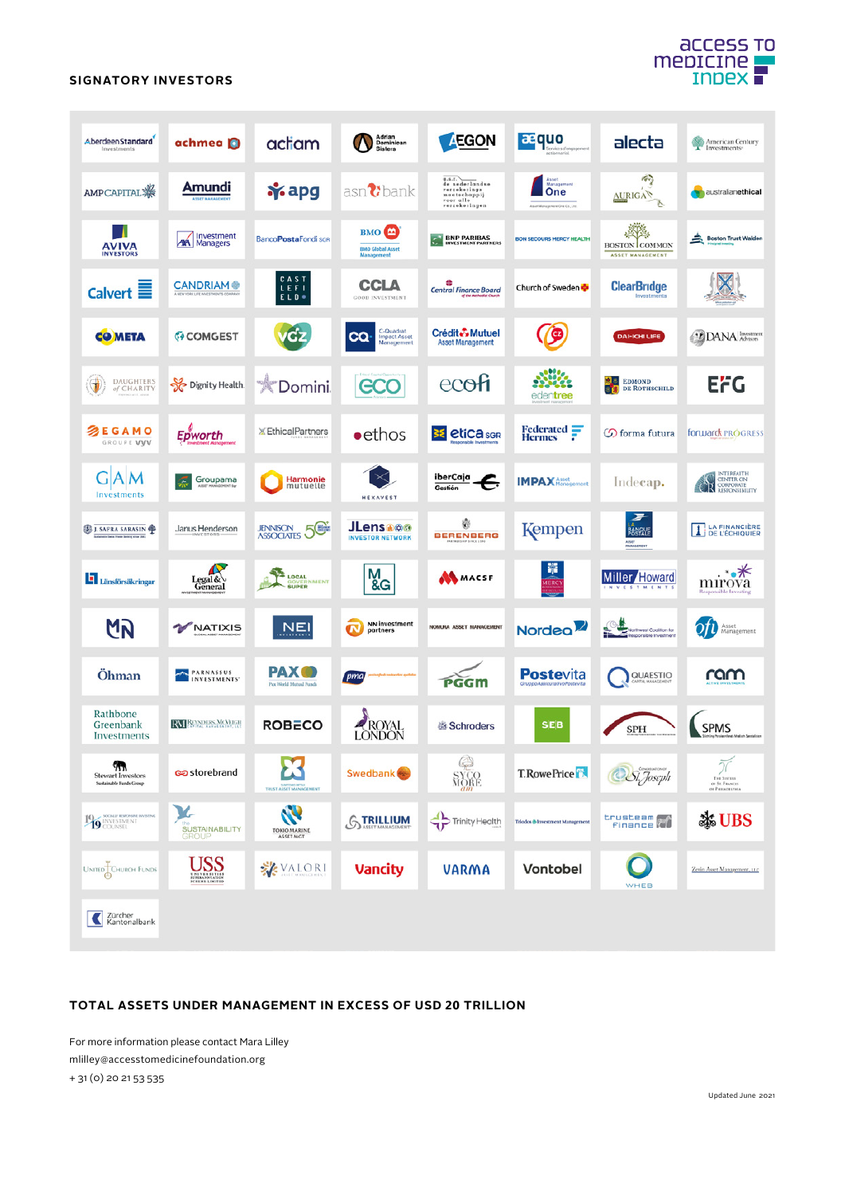## **ACCESS TO** medicine

#### **SIGNATORY INVESTORS**

| AberdeenStandard<br>Investments                                    | achmea <b>D</b>                        | actiam                                       | Adrian<br>Dominican<br>Sisters                            | <b>EGON</b>                                                                            | <b>asquo</b>                                                 | alecta                                            | American Century<br>Investments <sup>®</sup>            |
|--------------------------------------------------------------------|----------------------------------------|----------------------------------------------|-----------------------------------------------------------|----------------------------------------------------------------------------------------|--------------------------------------------------------------|---------------------------------------------------|---------------------------------------------------------|
| AMPCAPITAL ※                                                       | Amundi                                 | <b>i</b> s apg                               | $asn$ bank                                                | a.s.r.<br>de nederlandse<br>verzekerings<br>maatschappij<br>voor alle<br>verzekeringen | Asset<br>Management<br>One<br>Asset Management One Co., Ltd. | 49<br><b>AURIGA</b>                               | <b>Waustralianethical</b>                               |
| AVIVA<br><b>INVESTORS</b>                                          | Investment<br><b>AM</b> Managers       | BancoPostaFondi SGR                          | BMO <sup>4</sup><br><b>BMO Global Asset</b><br>Management | <b>BNP PARIBAS</b><br><b>INVESTMENT PARTNERS</b>                                       | <b>BON SECOURS MERCY HEALTH</b>                              | <b>BOSTON</b> COMMON<br>ASSET MANAGEMENT          | Boston Trust Walden                                     |
| Calvert $\equiv$                                                   | <b>CANDRIAM®</b>                       | CAST<br>LEFI<br>ELD *                        | CCLA<br><b>GOOD INVESTMENT</b>                            | æ<br><b>Central Finance Board</b>                                                      | Church of Sweden                                             | <b>ClearBridge</b><br>Investme                    |                                                         |
| <b>COMETA</b>                                                      | <b>GOMGEST</b>                         | vcz                                          | C-Quadrat<br><b>CQ</b><br>Impact Asset<br>Management      | Crédit Mutuel<br><b>Asset Management</b>                                               | Ø                                                            | <b>DAI-ICHI LIFE</b>                              | <sup>1</sup> DANA Advisors                              |
| €<br>DAUGHTERS<br>of CHARITY                                       | Dignity Health                         | <b>*Domini</b>                               | GCO                                                       | ecofi                                                                                  | edentree                                                     | 器<br><b>EDMOND</b><br>DE ROTHSCHILD               | <b>EFG</b>                                              |
| 多EGAMO<br>GROUPE VVV                                               | Epworth                                | <b>XEthicalPartners</b>                      | $\bullet$ ethos                                           | <b>38 etica</b> son                                                                    | Federated -<br><b>Hermes</b>                                 | Co forma futura                                   | forward PROGRESS                                        |
| AM<br>Investments                                                  | Groupama                               | <b>Harmonie</b><br>mutuelle                  | <b>HEXAVEST</b>                                           | iberCaja<br>F,<br>Gestión                                                              | <b>IMPAX</b> Asset                                           | Indecap.                                          | INTERFAITH<br><b>EN CENTER ON</b><br><b>CR</b> CONFORME |
| <b>B</b> J. SAFRA SARASIN<br><b>Sales Frank Section since 1841</b> | Janus Henderson                        | <b>JENNISON 5</b>                            | <b>JLensa®®</b><br><b>INVESTOR NETWORK</b>                | 鄝<br><b>BERENBERG</b>                                                                  | Kempen                                                       | 罗<br>BANQUE<br>ASSET<br>MANAGEMENT                | <b>LA FINANCIÈRE</b><br>$\mathbf{r}$<br>DE L'ÉCHIQUIER  |
| Länsförsäkringar                                                   | Legal&<br>General                      | <b>LOCAL</b><br>NMENT<br><b>SUPER</b>        | M <sub>&amp;G</sub>                                       | MMACSF                                                                                 | 攀<br><b>VERC</b>                                             | <b>Miller</b> Howard<br><b>STMENTS</b>            | . ∗. *<br>mirova<br><b>Responsible Investig</b>         |
| M                                                                  | NATIXIS                                | <u>NEI</u>                                   | NN investment<br>π<br>partners                            | NOMURA ASSET MANAGEMENT                                                                | Nordeo <sup>2</sup>                                          | Northwest Coalition for<br>lesponsible Investment | Asset<br>Management                                     |
| Öhman                                                              | <b>PARNASSUS</b><br><b>INVESTMENTS</b> | <b>PAX</b><br>Pax World Mutual Funds         | pma <sub>l</sub>                                          | PGGM                                                                                   | <b>Postevita</b>                                             | QUAESTIO                                          | ram                                                     |
| Rathbone<br>Greenbank<br>Investments                               | <b>RM REYNDERS MCARGIN</b>             | <b>ROBECO</b>                                | <b>ROYAL</b><br>LONDON                                    | 器 Schroders                                                                            | <b>SEB</b>                                                   | <b>SPH</b>                                        | <b>SPMS</b>                                             |
| ٧n<br><b>Stewart Investors</b><br>Sustainable Funds Group          | ලන storebrand                          | TRUST ASSET MANAGEMENT                       | Swedbank <sup>®</sup>                                     | ¢<br><b>SYCO</b><br>MORE                                                               | <b>T.RowePrice</b>                                           | Si, Joseph                                        | 77<br>THE SISTERS<br>OF ST. FRANCIS<br>OF PHILADELPHIA  |
| 19 INVESTMENT                                                      | y.<br><b>SUSTAINABILITY</b><br>GROUP   | P<br><b>TOKIO MARINE</b><br><b>ASSET MGT</b> | <b>GTRILLIUM</b>                                          | Trinity Health                                                                         | <b>Triodos &amp; Investment Management</b>                   | trusteem <b>(*</b> )                              | ※UBS                                                    |
| UNITED CHURCH FUNDS                                                | <u>USS</u>                             | VALORI                                       | <b>Vancity</b>                                            | <b>VARMA</b>                                                                           | Vontobel                                                     | WHEB                                              | Zevin Asset Management, LLC                             |
| Zürcher<br>Kantonalbank                                            |                                        |                                              |                                                           |                                                                                        |                                                              |                                                   |                                                         |

#### **TOTAL ASSETS UNDER MANAGEMENT IN EXCESS OF USD 20 TRILLION**

For more information please contact Mara Lilley mlilley@accesstomedicinefoundation.org

+ 31 (0) 20 21 53 535